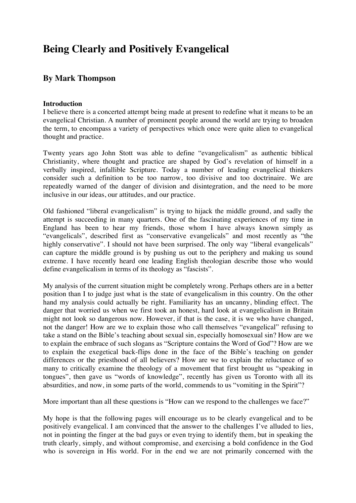# **Being Clearly and Positively Evangelical**

# **By Mark Thompson**

## **Introduction**

I believe there is a concerted attempt being made at present to redefine what it means to be an evangelical Christian. A number of prominent people around the world are trying to broaden the term, to encompass a variety of perspectives which once were quite alien to evangelical thought and practice.

Twenty years ago John Stott was able to define "evangelicalism" as authentic biblical Christianity, where thought and practice are shaped by God's revelation of himself in a verbally inspired, infallible Scripture. Today a number of leading evangelical thinkers consider such a definition to be too narrow, too divisive and too doctrinaire. We are repeatedly warned of the danger of division and disintegration, and the need to be more inclusive in our ideas, our attitudes, and our practice.

Old fashioned "liberal evangelicalism" is trying to hijack the middle ground, and sadly the attempt is succeeding in many quarters. One of the fascinating experiences of my time in England has been to hear my friends, those whom I have always known simply as "evangelicals", described first as "conservative evangelicals" and most recently as "the highly conservative". I should not have been surprised. The only way "liberal evangelicals" can capture the middle ground is by pushing us out to the periphery and making us sound extreme. I have recently heard one leading English theologian describe those who would define evangelicalism in terms of its theology as "fascists".

My analysis of the current situation might be completely wrong. Perhaps others are in a better position than I to judge just what is the state of evangelicalism in this country. On the other hand my analysis could actually be right. Familiarity has an uncanny, blinding effect. The danger that worried us when we first took an honest, hard look at evangelicalism in Britain might not look so dangerous now. However, if that is the case, it is we who have changed, not the danger! How are we to explain those who call themselves "evangelical" refusing to take a stand on the Bible's teaching about sexual sin, especially homosexual sin? How are we to explain the embrace of such slogans as "Scripture contains the Word of God"? How are we to explain the exegetical back-flips done in the face of the Bible's teaching on gender differences or the priesthood of all believers? How are we to explain the reluctance of so many to critically examine the theology of a movement that first brought us "speaking in tongues", then gave us "words of knowledge", recently has given us Toronto with all its absurdities, and now, in some parts of the world, commends to us "vomiting in the Spirit"?

More important than all these questions is "How can we respond to the challenges we face?"

My hope is that the following pages will encourage us to be clearly evangelical and to be positively evangelical. I am convinced that the answer to the challenges I've alluded to lies, not in pointing the finger at the bad guys or even trying to identify them, but in speaking the truth clearly, simply, and without compromise, and exercising a bold confidence in the God who is sovereign in His world. For in the end we are not primarily concerned with the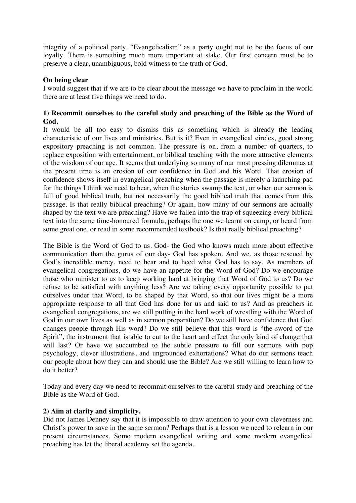integrity of a political party. "Evangelicalism" as a party ought not to be the focus of our loyalty. There is something much more important at stake. Our first concern must be to preserve a clear, unambiguous, bold witness to the truth of God.

## **On being clear**

I would suggest that if we are to be clear about the message we have to proclaim in the world there are at least five things we need to do.

#### **1) Recommit ourselves to the careful study and preaching of the Bible as the Word of God.**

It would be all too easy to dismiss this as something which is already the leading characteristic of our lives and ministries. But is it? Even in evangelical circles, good strong expository preaching is not common. The pressure is on, from a number of quarters, to replace exposition with entertainment, or biblical teaching with the more attractive elements of the wisdom of our age. It seems that underlying so many of our most pressing dilemmas at the present time is an erosion of our confidence in God and his Word. That erosion of confidence shows itself in evangelical preaching when the passage is merely a launching pad for the things I think we need to hear, when the stories swamp the text, or when our sermon is full of good biblical truth, but not necessarily the good biblical truth that comes from this passage. Is that really biblical preaching? Or again, how many of our sermons are actually shaped by the text we are preaching? Have we fallen into the trap of squeezing every biblical text into the same time-honoured formula, perhaps the one we learnt on camp, or heard from some great one, or read in some recommended textbook? Is that really biblical preaching?

The Bible is the Word of God to us. God- the God who knows much more about effective communication than the gurus of our day- God has spoken. And we, as those rescued by God's incredible mercy, need to hear and to heed what God has to say. As members of evangelical congregations, do we have an appetite for the Word of God? Do we encourage those who minister to us to keep working hard at bringing that Word of God to us? Do we refuse to be satisfied with anything less? Are we taking every opportunity possible to put ourselves under that Word, to be shaped by that Word, so that our lives might be a more appropriate response to all that God has done for us and said to us? And as preachers in evangelical congregations, are we still putting in the hard work of wrestling with the Word of God in our own lives as well as in sermon preparation? Do we still have confidence that God changes people through His word? Do we still believe that this word is "the sword of the Spirit", the instrument that is able to cut to the heart and effect the only kind of change that will last? Or have we succumbed to the subtle pressure to fill our sermons with pop psychology, clever illustrations, and ungrounded exhortations? What do our sermons teach our people about how they can and should use the Bible? Are we still willing to learn how to do it better?

Today and every day we need to recommit ourselves to the careful study and preaching of the Bible as the Word of God.

#### **2) Aim at clarity and simplicity.**

Did not James Denney say that it is impossible to draw attention to your own cleverness and Christ's power to save in the same sermon? Perhaps that is a lesson we need to relearn in our present circumstances. Some modern evangelical writing and some modern evangelical preaching has let the liberal academy set the agenda.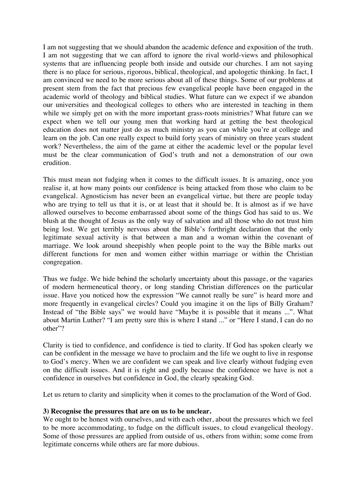I am not suggesting that we should abandon the academic defence and exposition of the truth. I am not suggesting that we can afford to ignore the rival world-views and philosophical systems that are influencing people both inside and outside our churches. I am not saying there is no place for serious, rigorous, biblical, theological, and apologetic thinking. In fact, I am convinced we need to be more serious about all of these things. Some of our problems at present stem from the fact that precious few evangelical people have been engaged in the academic world of theology and biblical studies. What future can we expect if we abandon our universities and theological colleges to others who are interested in teaching in them while we simply get on with the more important grass-roots ministries? What future can we expect when we tell our young men that working hard at getting the best theological education does not matter just do as much ministry as you can while you're at college and learn on the job. Can one really expect to build forty years of ministry on three years student work? Nevertheless, the aim of the game at either the academic level or the popular level must be the clear communication of God's truth and not a demonstration of our own erudition.

This must mean not fudging when it comes to the difficult issues. It is amazing, once you realise it, at how many points our confidence is being attacked from those who claim to be evangelical. Agnosticism has never been an evangelical virtue, but there are people today who are trying to tell us that it is, or at least that it should be. It is almost as if we have allowed ourselves to become embarrassed about some of the things God has said to us. We blush at the thought of Jesus as the only way of salvation and all those who do not trust him being lost. We get terribly nervous about the Bible's forthright declaration that the only legitimate sexual activity is that between a man and a woman within the covenant of marriage. We look around sheepishly when people point to the way the Bible marks out different functions for men and women either within marriage or within the Christian congregation.

Thus we fudge. We hide behind the scholarly uncertainty about this passage, or the vagaries of modern hermeneutical theory, or long standing Christian differences on the particular issue. Have you noticed how the expression "We cannot really be sure" is heard more and more frequently in evangelical circles? Could you imagine it on the lips of Billy Graham? Instead of "the Bible says" we would have "Maybe it is possible that it means ...". What about Martin Luther? "I am pretty sure this is where I stand ..." or "Here I stand, I can do no other"?

Clarity is tied to confidence, and confidence is tied to clarity. If God has spoken clearly we can be confident in the message we have to proclaim and the life we ought to live in response to God's mercy. When we are confident we can speak and live clearly without fudging even on the difficult issues. And it is right and godly because the confidence we have is not a confidence in ourselves but confidence in God, the clearly speaking God.

Let us return to clarity and simplicity when it comes to the proclamation of the Word of God.

#### **3) Recognise the pressures that are on us to be unclear.**

We ought to be honest with ourselves, and with each other, about the pressures which we feel to be more accommodating, to fudge on the difficult issues, to cloud evangelical theology. Some of those pressures are applied from outside of us, others from within; some come from legitimate concerns while others are far more dubious.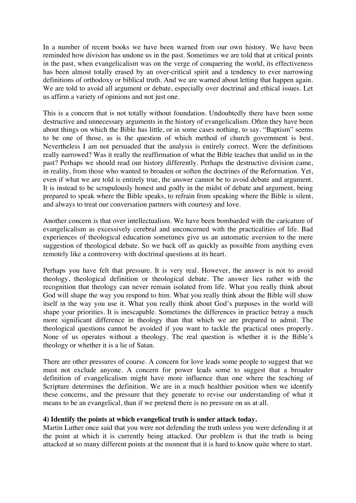In a number of recent books we have been warned from our own history. We have been reminded how division has undone us in the past. Sometimes we are told that at critical points in the past, when evangelicalism was on the verge of conquering the world, its effectiveness has been almost totally erased by an over-critical spirit and a tendency to ever narrowing definitions of orthodoxy or biblical truth. And we are warned about letting that happen again. We are told to avoid all argument or debate, especially over doctrinal and ethical issues. Let us affirm a variety of opinions and not just one.

This is a concern that is not totally without foundation. Undoubtedly there have been some destructive and unnecessary arguments in the history of evangelicalism. Often they have been about things on which the Bible has little, or in some cases nothing, to say. "Baptism" seems to be one of those, as is the question of which method of church government is best. Nevertheless I am not persuaded that the analysis is entirely correct. Were the definitions really narrowed? Was it really the reaffirmation of what the Bible teaches that undid us in the past? Perhaps we should read our history differently. Perhaps the destructive division came, in reality, from those who wanted to broaden or soften the doctrines of the Reformation. Yet, even if what we are told is entirely true, the answer cannot be to avoid debate and argument. It is instead to be scrupulously honest and godly in the midst of debate and argument, being prepared to speak where the Bible speaks, to refrain from speaking where the Bible is silent, and always to treat our conversation partners with courtesy and love.

Another concern is that over intellectualism. We have been bombarded with the caricature of evangelicalism as excessively cerebral and unconcerned with the practicalities of life. Bad experiences of theological education sometimes give us an automatic aversion to the mere suggestion of theological debate. So we back off as quickly as possible from anything even remotely like a controversy with doctrinal questions at its heart.

Perhaps you have felt that pressure. It is very real. However, the answer is not to avoid theology, theological definition or theological debate. The answer lies rather with the recognition that theology can never remain isolated from life. What you really think about God will shape the way you respond to him. What you really think about the Bible will show itself in the way you use it. What you really think about God's purposes in the world will shape your priorities. It is inescapable. Sometimes the differences in practice betray a much more significant difference in theology than that which we are prepared to admit. The theological questions cannot be avoided if you want to tackle the practical ones properly. None of us operates without a theology. The real question is whether it is the Bible's theology or whether it is a lie of Satan.

There are other pressures of course. A concern for love leads some people to suggest that we must not exclude anyone. A concern for power leads some to suggest that a broader definition of evangelicalism might have more influence than one where the teaching of Scripture determines the definition. We are in a much healthier position when we identify these concerns, and the pressure that they generate to revise our understanding of what it means to be an evangelical, than if we pretend there is no pressure on us at all.

#### **4) Identify the points at which evangelical truth is under attack today.**

Martin Luther once said that you were not defending the truth unless you were defending it at the point at which it is currently being attacked. Our problem is that the truth is being attacked at so many different points at the moment that it is hard to know quite where to start.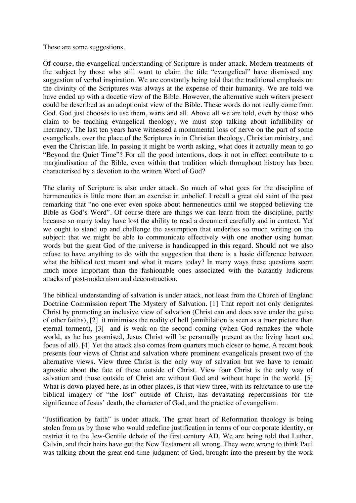These are some suggestions.

Of course, the evangelical understanding of Scripture is under attack. Modern treatments of the subject by those who still want to claim the title "evangelical" have dismissed any suggestion of verbal inspiration. We are constantly being told that the traditional emphasis on the divinity of the Scriptures was always at the expense of their humanity. We are told we have ended up with a docetic view of the Bible. However, the alternative such writers present could be described as an adoptionist view of the Bible. These words do not really come from God. God just chooses to use them, warts and all. Above all we are told, even by those who claim to be teaching evangelical theology, we must stop talking about infallibility or inerrancy. The last ten years have witnessed a monumental loss of nerve on the part of some evangelicals, over the place of the Scriptures in in Christian theology, Christian ministry, and even the Christian life. In passing it might be worth asking, what does it actually mean to go "Beyond the Quiet Time"? For all the good intentions, does it not in effect contribute to a marginalisation of the Bible, even within that tradition which throughout history has been characterised by a devotion to the written Word of God?

The clarity of Scripture is also under attack. So much of what goes for the discipline of hermeneutics is little more than an exercise in unbelief. I recall a great old saint of the past remarking that "no one ever even spoke about hermeneutics until we stopped believing the Bible as God's Word". Of course there are things we can learn from the discipline, partly because so many today have lost the ability to read a document carefully and in context. Yet we ought to stand up and challenge the assumption that underlies so much writing on the subject: that we might be able to communicate effectively with one another using human words but the great God of the universe is handicapped in this regard. Should not we also refuse to have anything to do with the suggestion that there is a basic difference between what the biblical text meant and what it means today? In many ways these questions seem much more important than the fashionable ones associated with the blatantly ludicrous attacks of post-modernism and deconstruction.

The biblical understanding of salvation is under attack, not least from the Church of England Doctrine Commission report The Mystery of Salvation. [1] That report not only denigrates Christ by promoting an inclusive view of salvation (Christ can and does save under the guise of other faiths), [2] it minimises the reality of hell (annihilation is seen as a truer picture than eternal torment), [3] and is weak on the second coming (when God remakes the whole world, as he has promised, Jesus Christ will be personally present as the living heart and focus of all). [4] Yet the attack also comes from quarters much closer to home. A recent book presents four views of Christ and salvation where prominent evangelicals present two of the alternative views. View three Christ is the only way of salvation but we have to remain agnostic about the fate of those outside of Christ. View four Christ is the only way of salvation and those outside of Christ are without God and without hope in the world. [5] What is down-played here, as in other places, is that view three, with its reluctance to use the biblical imagery of "the lost" outside of Christ, has devastating repercussions for the significance of Jesus' death, the character of God, and the practice of evangelism.

"Justification by faith" is under attack. The great heart of Reformation theology is being stolen from us by those who would redefine justification in terms of our corporate identity, or restrict it to the Jew-Gentile debate of the first century AD. We are being told that Luther, Calvin, and their heirs have got the New Testament all wrong. They were wrong to think Paul was talking about the great end-time judgment of God, brought into the present by the work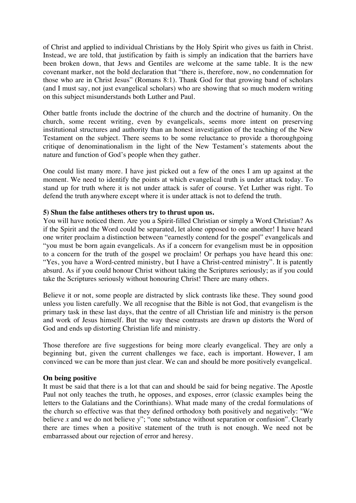of Christ and applied to individual Christians by the Holy Spirit who gives us faith in Christ. Instead, we are told, that justification by faith is simply an indication that the barriers have been broken down, that Jews and Gentiles are welcome at the same table. It is the new covenant marker, not the bold declaration that "there is, therefore, now, no condemnation for those who are in Christ Jesus" (Romans 8:1). Thank God for that growing band of scholars (and I must say, not just evangelical scholars) who are showing that so much modern writing on this subject misunderstands both Luther and Paul.

Other battle fronts include the doctrine of the church and the doctrine of humanity. On the church, some recent writing, even by evangelicals, seems more intent on preserving institutional structures and authority than an honest investigation of the teaching of the New Testament on the subject. There seems to be some reluctance to provide a thoroughgoing critique of denominationalism in the light of the New Testament's statements about the nature and function of God's people when they gather.

One could list many more. I have just picked out a few of the ones I am up against at the moment. We need to identify the points at which evangelical truth is under attack today. To stand up for truth where it is not under attack is safer of course. Yet Luther was right. To defend the truth anywhere except where it is under attack is not to defend the truth.

#### **5) Shun the false antitheses others try to thrust upon us.**

You will have noticed them. Are you a Spirit-filled Christian or simply a Word Christian? As if the Spirit and the Word could be separated, let alone opposed to one another! I have heard one writer proclaim a distinction between "earnestly contend for the gospel" evangelicals and "you must be born again evangelicals. As if a concern for evangelism must be in opposition to a concern for the truth of the gospel we proclaim! Or perhaps you have heard this one: "Yes, you have a Word-centred ministry, but I have a Christ-centred ministry". It is patently absurd. As if you could honour Christ without taking the Scriptures seriously; as if you could take the Scriptures seriously without honouring Christ! There are many others.

Believe it or not, some people are distracted by slick contrasts like these. They sound good unless you listen carefully. We all recognise that the Bible is not God, that evangelism is the primary task in these last days, that the centre of all Christian life and ministry is the person and work of Jesus himself. But the way these contrasts are drawn up distorts the Word of God and ends up distorting Christian life and ministry.

Those therefore are five suggestions for being more clearly evangelical. They are only a beginning but, given the current challenges we face, each is important. However, I am convinced we can be more than just clear. We can and should be more positively evangelical.

#### **On being positive**

It must be said that there is a lot that can and should be said for being negative. The Apostle Paul not only teaches the truth, he opposes, and exposes, error (classic examples being the letters to the Galatians and the Corinthians). What made many of the credal formulations of the church so effective was that they defined orthodoxy both positively and negatively: "We believe *x* and we do not believe *y*"; "one substance without separation or confusion". Clearly there are times when a positive statement of the truth is not enough. We need not be embarrassed about our rejection of error and heresy.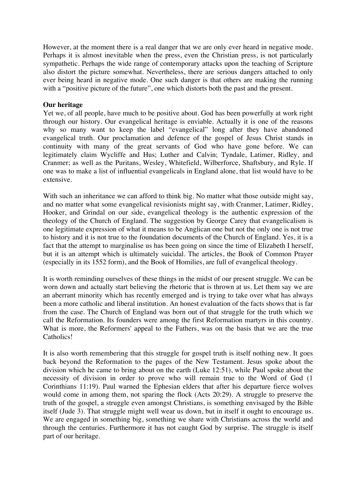However, at the moment there is a real danger that we are only ever heard in negative mode. Perhaps it is almost inevitable when the press, even the Christian press, is not particularly sympathetic. Perhaps the wide range of contemporary attacks upon the teaching of Scripture also distort the picture somewhat. Nevertheless, there are serious dangers attached to only ever being heard in negative mode. One such danger is that others are making the running with a "positive picture of the future", one which distorts both the past and the present.

#### **Our heritage**

Yet we, of all people, have much to be positive about. God has been powerfully at work right through our history. Our evangelical heritage is enviable. Actually it is one of the reasons why so many want to keep the label "evangelical" long after they have abandoned evangelical truth. Our proclamation and defence of the gospel of Jesus Christ stands in continuity with many of the great servants of God who have gone before. We can legitimately claim Wycliffe and Hus; Luther and Calvin; Tyndale, Latimer, Ridley, and Cranmer; as well as the Puritans, Wesley, Whitefield, Wilberforce, Shaftsbury, and Ryle. If one was to make a list of influential evangelicals in England alone, that list would have to be extensive.

With such an inheritance we can afford to think big. No matter what those outside might say, and no matter what some evangelical revisionists might say, with Cranmer, Latimer, Ridley, Hooker, and Grindal on our side, evangelical theology is the authentic expression of the theology of the Church of England. The suggestion by George Carey that evangelicalism is one legitimate expression of what it means to be Anglican one but not the only one is not true to history and it is not true to the foundation documents of the Church of England. Yes, it is a fact that the attempt to marginalise us has been going on since the time of Elizabeth I herself, but it is an attempt which is ultimately suicidal. The articles, the Book of Common Prayer (especially in its 1552 form), and the Book of Homilies, are full of evangelical theology.

It is worth reminding ourselves of these things in the midst of our present struggle. We can be worn down and actually start believing the rhetoric that is thrown at us. Let them say we are an aberrant minority which has recently emerged and is trying to take over what has always been a more catholic and liberal institution. An honest evaluation of the facts shows that is far from the case. The Church of England was born out of that struggle for the truth which we call the Reformation. Its founders were among the first Reformation martyrs in this country. What is more, the Reformers' appeal to the Fathers, was on the basis that we are the true Catholics!

It is also worth remembering that this struggle for gospel truth is itself nothing new. It goes back beyond the Reformation to the pages of the New Testament. Jesus spoke about the division which he came to bring about on the earth (Luke 12:51), while Paul spoke about the necessity of division in order to prove who will remain true to the Word of God (1 Corinthians 11:19). Paul warned the Ephesian elders that after his departure fierce wolves would come in among them, not sparing the flock (Acts 20:29). A struggle to preserve the truth of the gospel, a struggle even amongst Christians, is something envisaged by the Bible itself (Jude 3). That struggle might well wear us down, but in itself it ought to encourage us. We are engaged in something big, something we share with Christians across the world and through the centuries. Furthermore it has not caught God by surprise. The struggle is itself part of our heritage.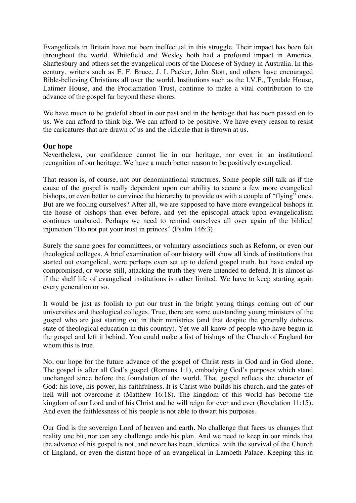Evangelicals in Britain have not been ineffectual in this struggle. Their impact has been felt throughout the world. Whitefield and Wesley both had a profound impact in America. Shaftesbury and others set the evangelical roots of the Diocese of Sydney in Australia. In this century, writers such as F. F. Bruce, J. I. Packer, John Stott, and others have encouraged Bible-believing Christians all over the world. Institutions such as the I.V.F., Tyndale House, Latimer House, and the Proclamation Trust, continue to make a vital contribution to the advance of the gospel far beyond these shores.

We have much to be grateful about in our past and in the heritage that has been passed on to us. We can afford to think big. We can afford to be positive. We have every reason to resist the caricatures that are drawn of us and the ridicule that is thrown at us.

#### **Our hope**

Nevertheless, our confidence cannot lie in our heritage, nor even in an institutional recognition of our heritage. We have a much better reason to be positively evangelical.

That reason is, of course, not our denominational structures. Some people still talk as if the cause of the gospel is really dependent upon our ability to secure a few more evangelical bishops, or even better to convince the hierarchy to provide us with a couple of "flying" ones. But are we fooling ourselves? After all, we are supposed to have more evangelical bishops in the house of bishops than ever before, and yet the episcopal attack upon evangelicalism continues unabated. Perhaps we need to remind ourselves all over again of the biblical injunction "Do not put your trust in princes" (Psalm 146:3).

Surely the same goes for committees, or voluntary associations such as Reform, or even our theological colleges. A brief examination of our history will show all kinds of institutions that started out evangelical, were perhaps even set up to defend gospel truth, but have ended up compromised, or worse still, attacking the truth they were intended to defend. It is almost as if the shelf life of evangelical institutions is rather limited. We have to keep starting again every generation or so.

It would be just as foolish to put our trust in the bright young things coming out of our universities and theological colleges. True, there are some outstanding young ministers of the gospel who are just starting out in their ministries (and that despite the generally dubious state of theological education in this country). Yet we all know of people who have begun in the gospel and left it behind. You could make a list of bishops of the Church of England for whom this is true.

No, our hope for the future advance of the gospel of Christ rests in God and in God alone. The gospel is after all God's gospel (Romans 1:1), embodying God's purposes which stand unchanged since before the foundation of the world. That gospel reflects the character of God: his love, his power, his faithfulness. It is Christ who builds his church, and the gates of hell will not overcome it (Matthew 16:18). The kingdom of this world has become the kingdom of our Lord and of his Christ and he will reign for ever and ever (Revelation 11:15). And even the faithlessness of his people is not able to thwart his purposes.

Our God is the sovereign Lord of heaven and earth. No challenge that faces us changes that reality one bit, nor can any challenge undo his plan. And we need to keep in our minds that the advance of his gospel is not, and never has been, identical with the survival of the Church of England, or even the distant hope of an evangelical in Lambeth Palace. Keeping this in